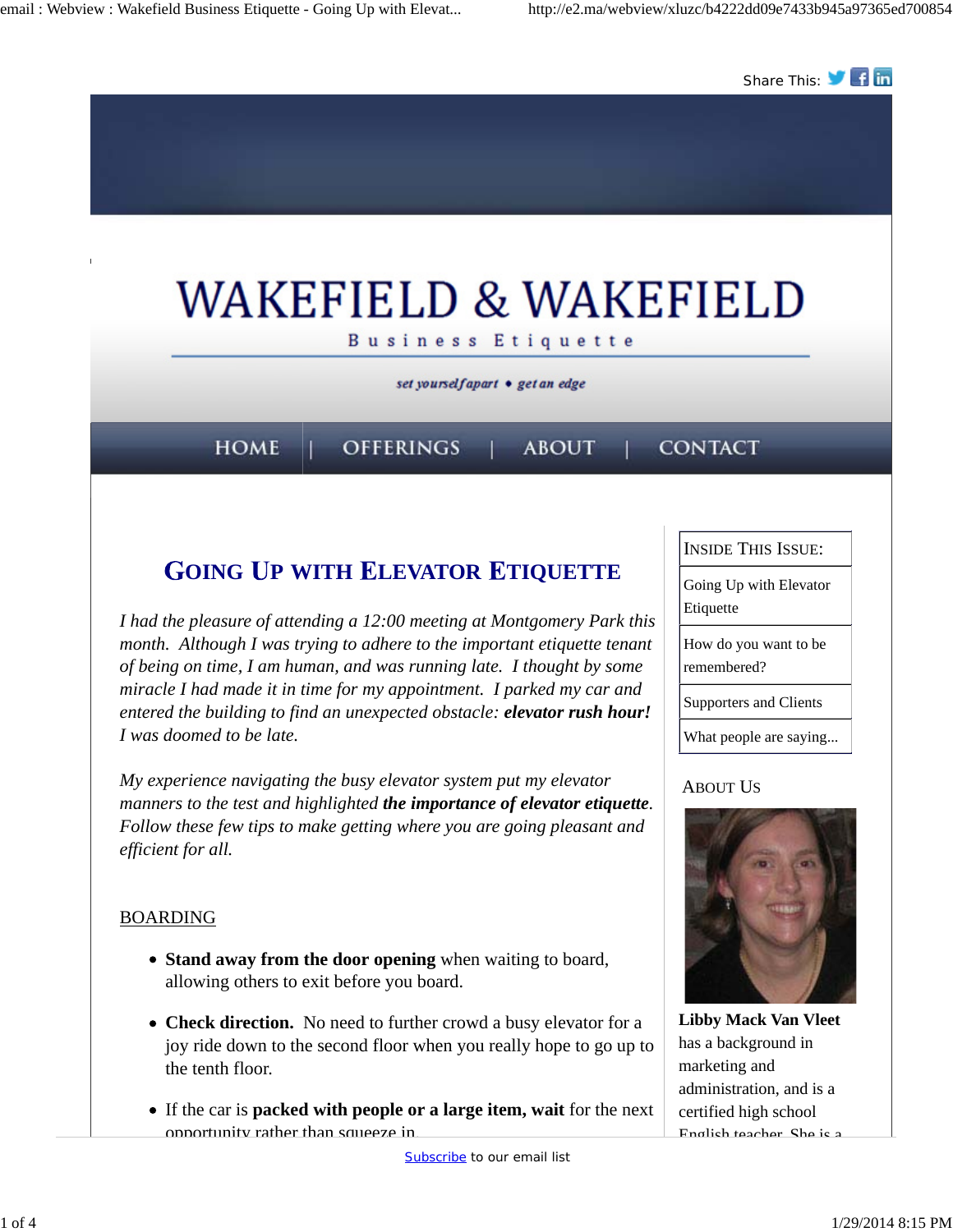

If the car is **packed with people or a large item, wait** for the next opportunity rather than squeeze in.

certified high school English teacher. She is a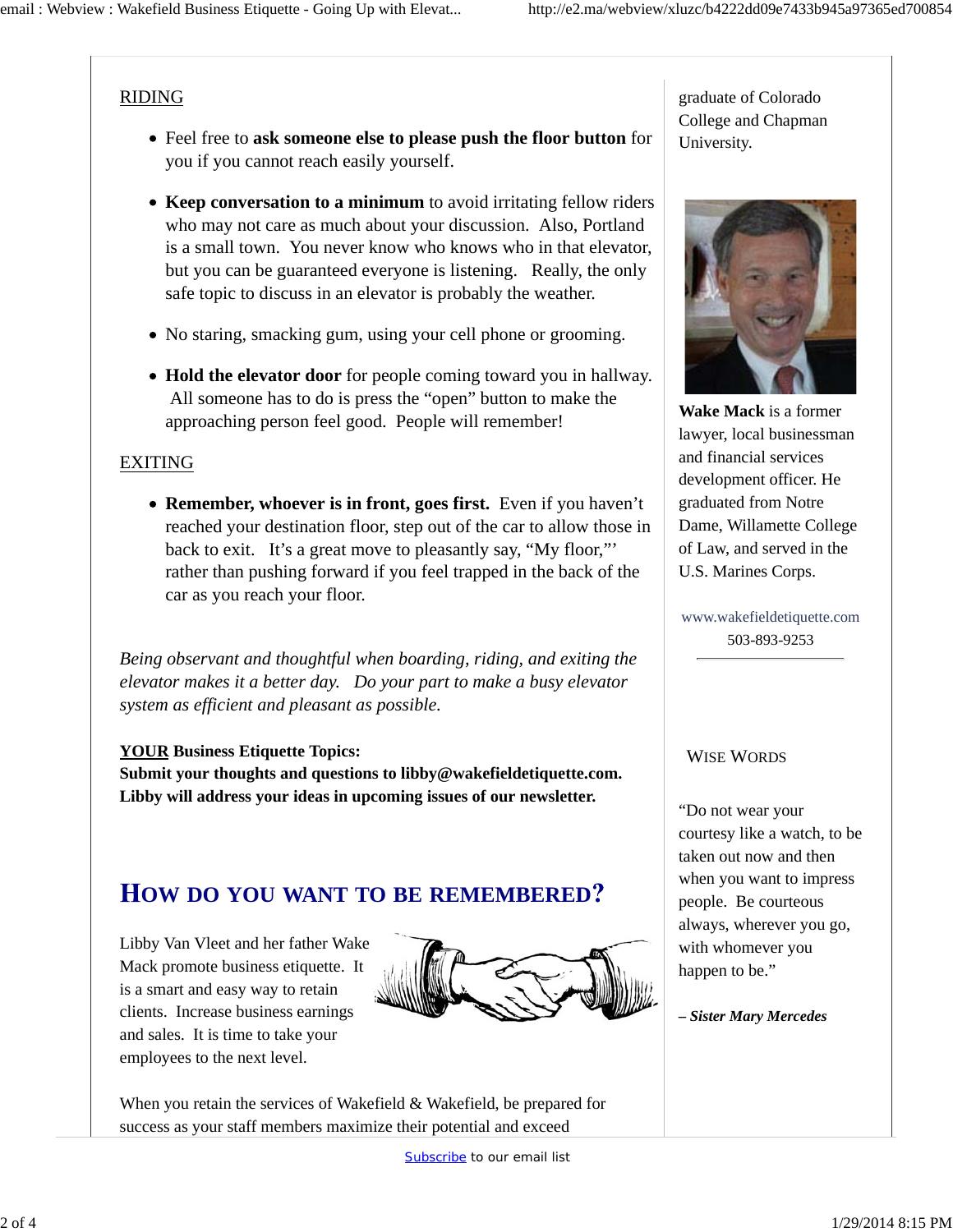### RIDING

- Feel free to **ask someone else to please push the floor button** for you if you cannot reach easily yourself.
- **Keep conversation to a minimum** to avoid irritating fellow riders who may not care as much about your discussion. Also, Portland is a small town. You never know who knows who in that elevator, but you can be guaranteed everyone is listening. Really, the only safe topic to discuss in an elevator is probably the weather.
- No staring, smacking gum, using your cell phone or grooming.
- **Hold the elevator door** for people coming toward you in hallway. All someone has to do is press the "open" button to make the approaching person feel good. People will remember!

### EXITING

**Remember, whoever is in front, goes first.** Even if you haven't reached your destination floor, step out of the car to allow those in back to exit. It's a great move to pleasantly say, "My floor,"' rather than pushing forward if you feel trapped in the back of the car as you reach your floor.

*Being observant and thoughtful when boarding, riding, and exiting the elevator makes it a better day. Do your part to make a busy elevator system as efficient and pleasant as possible.*

#### **YOUR Business Etiquette Topics:**

**Submit your thoughts and questions to libby@wakefieldetiquette.com. Libby will address your ideas in upcoming issues of our newsletter.**

# **OW DO YOU WANT TO BE REMEMBERED**

Libby Van Vleet and her father Wake Mack promote business etiquette. It is a smart and easy way to retain clients. Increase business earnings and sales. It is time to take your employees to the next level.



When you retain the services of Wakefield & Wakefield, be prepared for success as your staff members maximize their potential and exceed

graduate of Colorado College and Chapman University.



**Wake Mack** is a former lawyer, local businessman and financial services development officer. He graduated from Notre Dame, Willamette College of Law, and served in the U.S. Marines Corps.

www.wakefieldetiquette.com 503-893-9253

#### WISE WORDS

"Do not wear your courtesy like a watch, to be taken out now and then when you want to impress people. Be courteous always, wherever you go, with whomever you happen to be."

*– Sister Mary Mercedes*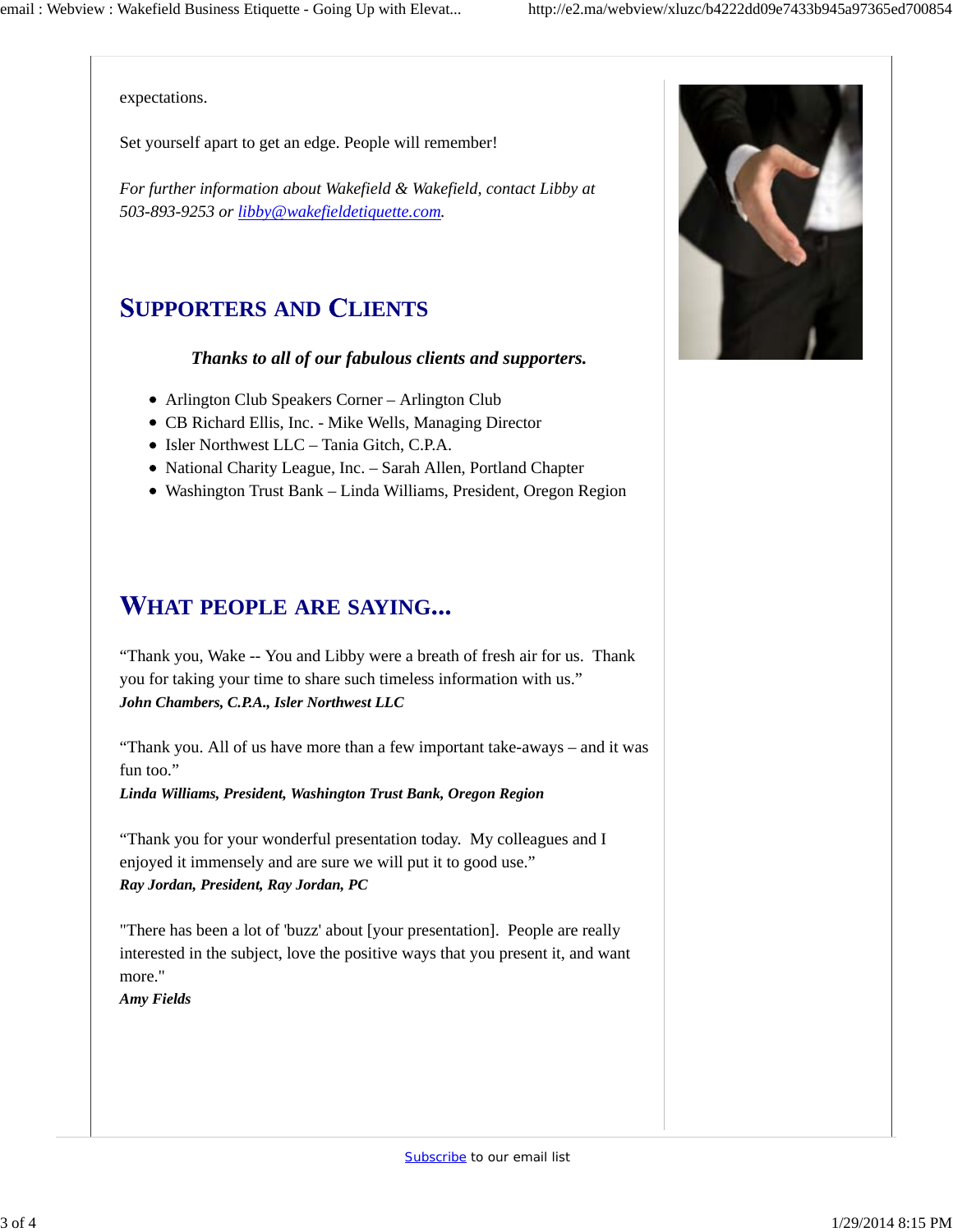expectations.

Set yourself apart to get an edge. People will remember!

*For further information about Wakefield & Wakefield, contact Libby at 503-893-9253 or libby@wakefieldetiquette.com.*

# **UPPORTERS AND LIENTS**

#### *Thanks to all of our fabulous clients and supporters.*

- Arlington Club Speakers Corner Arlington Club
- CB Richard Ellis, Inc. Mike Wells, Managing Director
- Isler Northwest LLC Tania Gitch, C.P.A.
- National Charity League, Inc. Sarah Allen, Portland Chapter
- Washington Trust Bank Linda Williams, President, Oregon Region

## **HAT PEOPLE ARE SAYING**

"Thank you, Wake -- You and Libby were a breath of fresh air for us. Thank you for taking your time to share such timeless information with us." *John Chambers, C.P.A., Isler Northwest LLC*

"Thank you. All of us have more than a few important take-aways – and it was fun too."

*Linda Williams, President, Washington Trust Bank, Oregon Region*

"Thank you for your wonderful presentation today. My colleagues and I enjoyed it immensely and are sure we will put it to good use." *Ray Jordan, President, Ray Jordan, PC*

"There has been a lot of 'buzz' about [your presentation]. People are really interested in the subject, love the positive ways that you present it, and want more."

*Amy Fields*